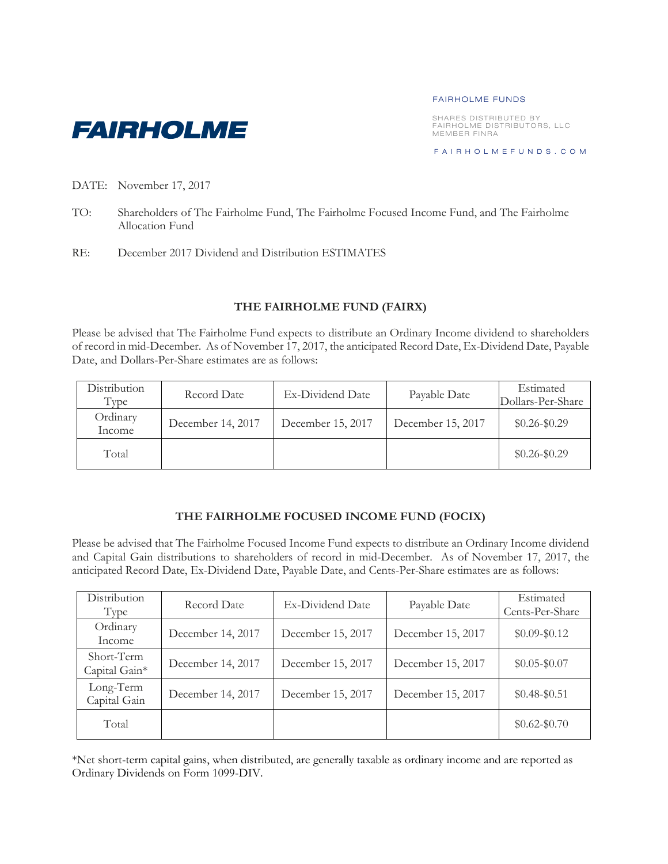

**FAIRHOLME FUNDS** 

SHARES DISTRIBUTED BY<br>FAIRHOLME DISTRIBUTORS, LLC MEMBER FINRA

F A I R H O L M E F U N D S . C O M

DATE: November 17, 2017

- TO: Shareholders of The Fairholme Fund, The Fairholme Focused Income Fund, and The Fairholme Allocation Fund
- RE: December 2017 Dividend and Distribution ESTIMATES

## **THE FAIRHOLME FUND (FAIRX)**

Please be advised that The Fairholme Fund expects to distribute an Ordinary Income dividend to shareholders of record in mid-December. As of November 17, 2017, the anticipated Record Date, Ex-Dividend Date, Payable Date, and Dollars-Per-Share estimates are as follows:

| Distribution<br>Type | Record Date       | Ex-Dividend Date  | Payable Date      | Estimated<br>Dollars-Per-Share |
|----------------------|-------------------|-------------------|-------------------|--------------------------------|
| Ordinary<br>Income   | December 14, 2017 | December 15, 2017 | December 15, 2017 | $$0.26 - $0.29$                |
| Total                |                   |                   |                   | $$0.26 - $0.29$                |

## **THE FAIRHOLME FOCUSED INCOME FUND (FOCIX)**

Please be advised that The Fairholme Focused Income Fund expects to distribute an Ordinary Income dividend and Capital Gain distributions to shareholders of record in mid-December. As of November 17, 2017, the anticipated Record Date, Ex-Dividend Date, Payable Date, and Cents-Per-Share estimates are as follows:

| Distribution<br>Type        | Record Date       | <b>Ex-Dividend Date</b> | Payable Date      | Estimated<br>Cents-Per-Share |
|-----------------------------|-------------------|-------------------------|-------------------|------------------------------|
| Ordinary<br>Income          | December 14, 2017 | December 15, 2017       | December 15, 2017 | $$0.09 - $0.12$              |
| Short-Term<br>Capital Gain* | December 14, 2017 | December 15, 2017       | December 15, 2017 | $$0.05 - $0.07$              |
| Long-Term<br>Capital Gain   | December 14, 2017 | December 15, 2017       | December 15, 2017 | $$0.48 - $0.51$              |
| Total                       |                   |                         |                   | $$0.62 - $0.70$              |

\*Net short-term capital gains, when distributed, are generally taxable as ordinary income and are reported as Ordinary Dividends on Form 1099-DIV.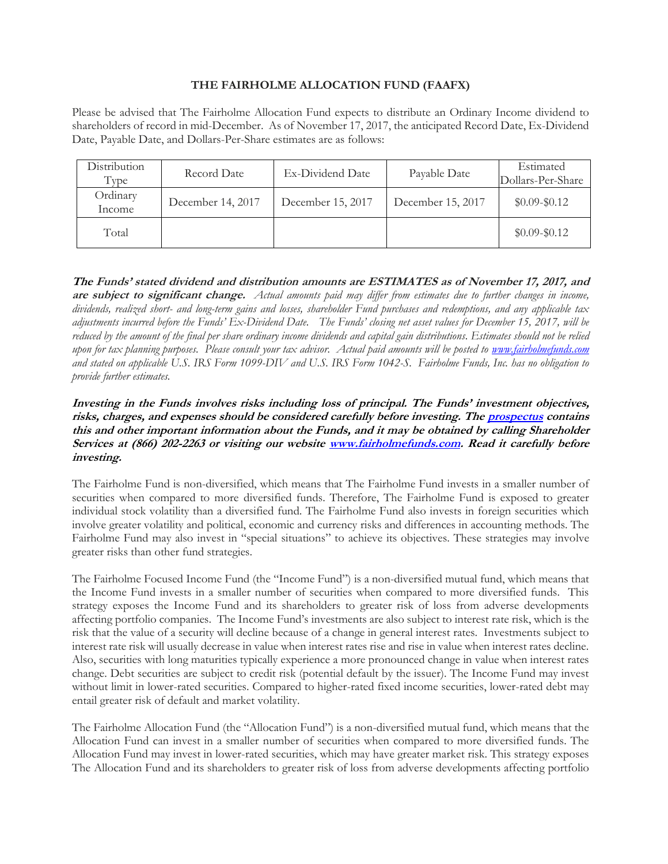## **THE FAIRHOLME ALLOCATION FUND (FAAFX)**

Please be advised that The Fairholme Allocation Fund expects to distribute an Ordinary Income dividend to shareholders of record in mid-December. As of November 17, 2017, the anticipated Record Date, Ex-Dividend Date, Payable Date, and Dollars-Per-Share estimates are as follows:

| Distribution<br>Type | Record Date       | Ex-Dividend Date  | Payable Date      | Estimated<br>Dollars-Per-Share |
|----------------------|-------------------|-------------------|-------------------|--------------------------------|
| Ordinary<br>Income   | December 14, 2017 | December 15, 2017 | December 15, 2017 | $$0.09 - $0.12$                |
| Total                |                   |                   |                   | $$0.09 - $0.12$                |

**The Funds' stated dividend and distribution amounts are ESTIMATES as of November 17, 2017, and are subject to significant change.** *Actual amounts paid may differ from estimates due to further changes in income, dividends, realized short- and long-term gains and losses, shareholder Fund purchases and redemptions, and any applicable tax adjustments incurred before the Funds' Ex-Dividend Date. The Funds' closing net asset values for December 15, 2017, will be reduced by the amount of the final per share ordinary income dividends and capital gain distributions. Estimates should not be relied upon for tax planning purposes. Please consult your tax advisor. Actual paid amounts will be posted to [www.fairholmefunds.com](http://www.fairholmefunds.com/) and stated on applicable U.S. IRS Form 1099-DIV and U.S. IRS Form 1042-S. Fairholme Funds, Inc. has no obligation to provide further estimates.*

## **Investing in the Funds involves risks including loss of principal. The Funds' investment objectives, risks, charges, and expenses should be considered carefully before investing. Th[e prospectus](http://www.fairholmefunds.com/prospectus/) contains this and other important information about the Funds, and it may be obtained by calling Shareholder Services at (866) 202-2263 or visiting our website [www.fairholmefunds.com.](http://www.fairholmefunds.com/) Read it carefully before investing.**

The Fairholme Fund is non-diversified, which means that The Fairholme Fund invests in a smaller number of securities when compared to more diversified funds. Therefore, The Fairholme Fund is exposed to greater individual stock volatility than a diversified fund. The Fairholme Fund also invests in foreign securities which involve greater volatility and political, economic and currency risks and differences in accounting methods. The Fairholme Fund may also invest in "special situations" to achieve its objectives. These strategies may involve greater risks than other fund strategies.

The Fairholme Focused Income Fund (the "Income Fund") is a non-diversified mutual fund, which means that the Income Fund invests in a smaller number of securities when compared to more diversified funds. This strategy exposes the Income Fund and its shareholders to greater risk of loss from adverse developments affecting portfolio companies. The Income Fund's investments are also subject to interest rate risk, which is the risk that the value of a security will decline because of a change in general interest rates. Investments subject to interest rate risk will usually decrease in value when interest rates rise and rise in value when interest rates decline. Also, securities with long maturities typically experience a more pronounced change in value when interest rates change. Debt securities are subject to credit risk (potential default by the issuer). The Income Fund may invest without limit in lower-rated securities. Compared to higher-rated fixed income securities, lower-rated debt may entail greater risk of default and market volatility.

The Fairholme Allocation Fund (the "Allocation Fund") is a non-diversified mutual fund, which means that the Allocation Fund can invest in a smaller number of securities when compared to more diversified funds. The Allocation Fund may invest in lower-rated securities, which may have greater market risk. This strategy exposes The Allocation Fund and its shareholders to greater risk of loss from adverse developments affecting portfolio